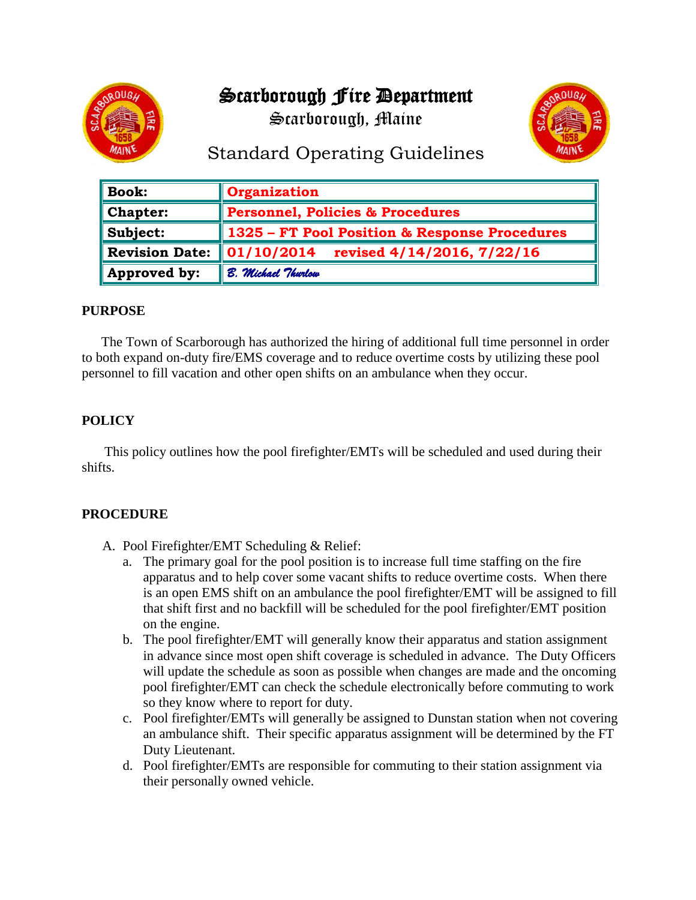# Scarborough Fire Department







# Standard Operating Guidelines

| $\parallel$ Book: | Organization                                             |
|-------------------|----------------------------------------------------------|
| $\ $ Chapter:     | Personnel, Policies & Procedures                         |
| $\ $ Subject:     | 1325 – FT Pool Position & Response Procedures            |
| Revision Date:    | $\mid\mid 01/10/2014 \mid$<br>revised 4/14/2016, 7/22/16 |
| Approved by:      | B. Michael Thurlow                                       |

#### **PURPOSE**

The Town of Scarborough has authorized the hiring of additional full time personnel in order to both expand on-duty fire/EMS coverage and to reduce overtime costs by utilizing these pool personnel to fill vacation and other open shifts on an ambulance when they occur.

### **POLICY**

This policy outlines how the pool firefighter/EMTs will be scheduled and used during their shifts.

#### **PROCEDURE**

- A. Pool Firefighter/EMT Scheduling & Relief:
	- a. The primary goal for the pool position is to increase full time staffing on the fire apparatus and to help cover some vacant shifts to reduce overtime costs. When there is an open EMS shift on an ambulance the pool firefighter/EMT will be assigned to fill that shift first and no backfill will be scheduled for the pool firefighter/EMT position on the engine.
	- b. The pool firefighter/EMT will generally know their apparatus and station assignment in advance since most open shift coverage is scheduled in advance. The Duty Officers will update the schedule as soon as possible when changes are made and the oncoming pool firefighter/EMT can check the schedule electronically before commuting to work so they know where to report for duty.
	- c. Pool firefighter/EMTs will generally be assigned to Dunstan station when not covering an ambulance shift. Their specific apparatus assignment will be determined by the FT Duty Lieutenant.
	- d. Pool firefighter/EMTs are responsible for commuting to their station assignment via their personally owned vehicle.